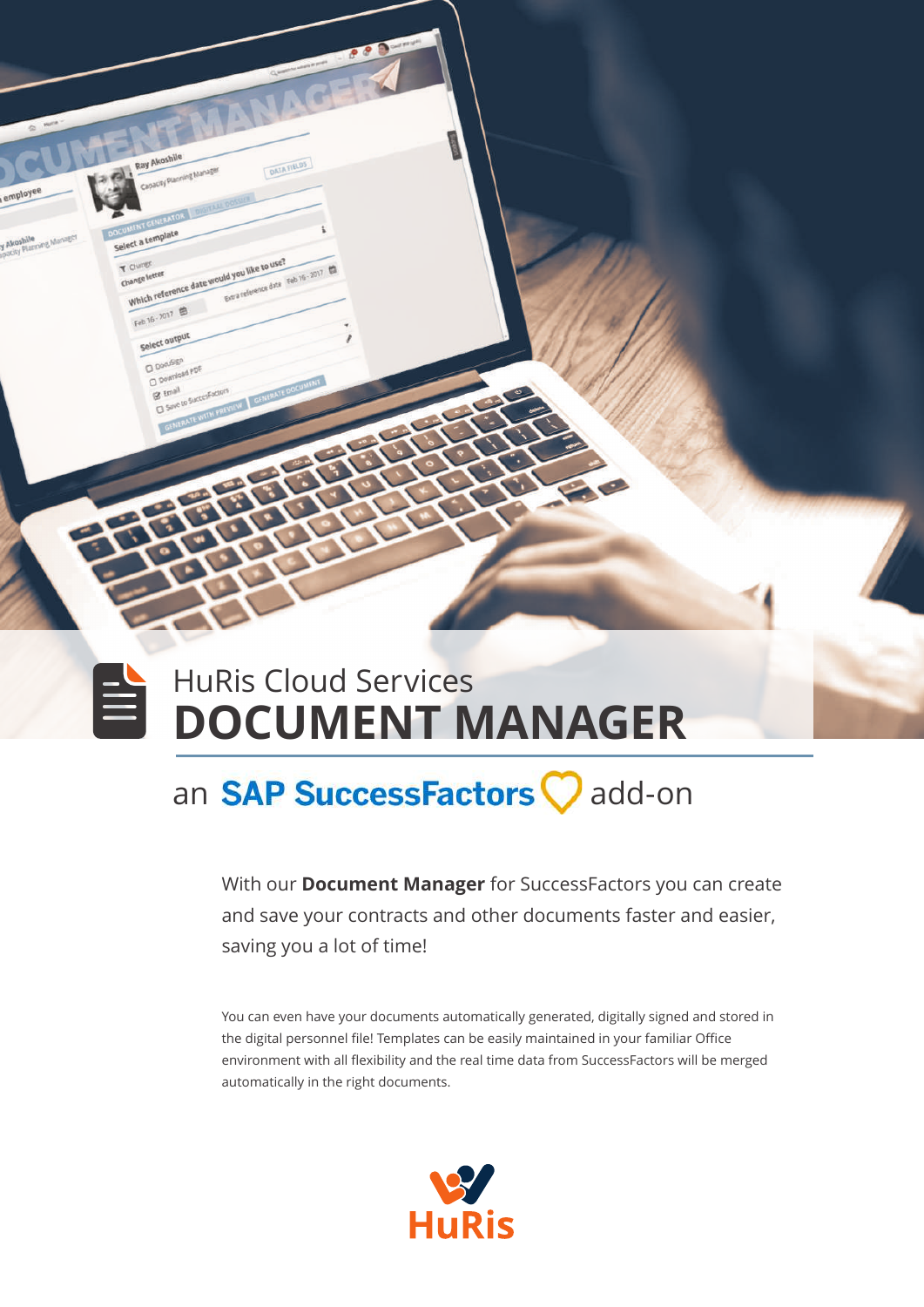

## an **SAP SuccessFactors** add-on

With our **Document Manager** for SuccessFactors you can create and save your contracts and other documents faster and easier, saving you a lot of time!

You can even have your documents automatically generated, digitally signed and stored in the digital personnel file! Templates can be easily maintained in your familiar Office environment with all flexibility and the real time data from SuccessFactors will be merged automatically in the right documents.